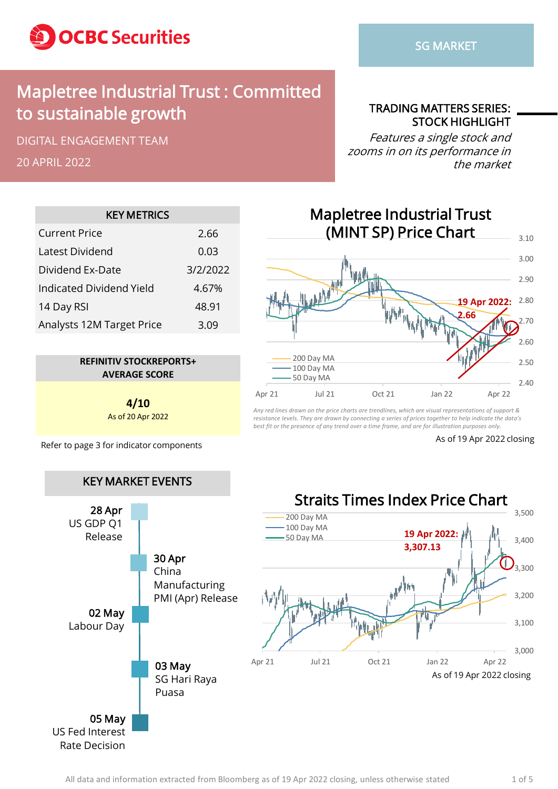

## Mapletree Industrial Trust : Committed to sustainable growth

DIGITAL ENGAGEMENT TEAM

20 APRIL 2022

TRADING MATTERS SERIES: STOCK HIGHLIGHT

Features a single stock and zooms in on its performance in the market

| <b>KEY METRICS</b>        |          |  |  |  |  |  |  |
|---------------------------|----------|--|--|--|--|--|--|
| <b>Current Price</b>      | 2.66     |  |  |  |  |  |  |
| Latest Dividend           | 0.03     |  |  |  |  |  |  |
| Dividend Ex-Date          | 3/2/2022 |  |  |  |  |  |  |
| Indicated Dividend Yield  | 4.67%    |  |  |  |  |  |  |
| 14 Day RSI                | 48.91    |  |  |  |  |  |  |
| Analysts 12M Target Price | 3.09     |  |  |  |  |  |  |
|                           |          |  |  |  |  |  |  |



**4/10** As of 20 Apr 2022

Refer to page 3 for indicator components As of 19 Apr 2022 closing



*Any red lines drawn on the price charts are trendlines, which are visual representations of support & resistance levels. They are drawn by connecting a series of prices together to help indicate the data's best fit or the presence of any trend over a time frame, and are for illustration purposes only.*

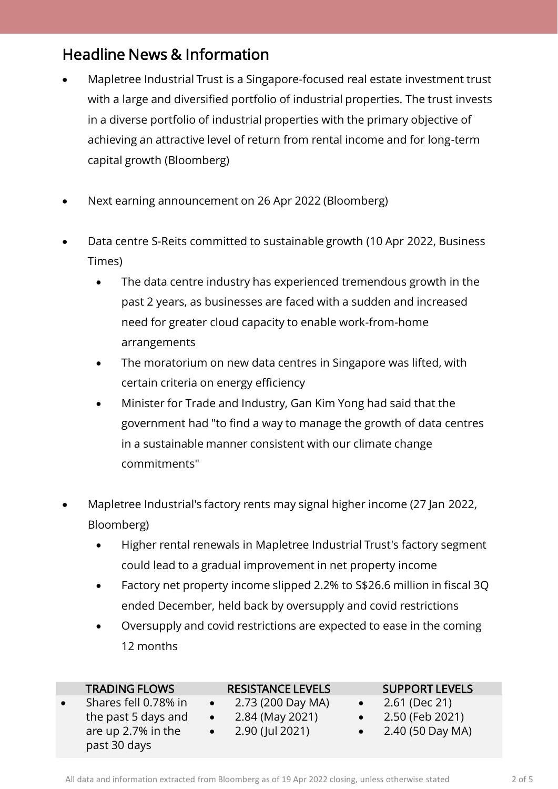### Headline News & Information

- Mapletree Industrial Trust is a Singapore-focused real estate investment trust with a large and diversified portfolio of industrial properties. The trust invests in a diverse portfolio of industrial properties with the primary objective of achieving an attractive level of return from rental income and for long-term capital growth (Bloomberg)
- Next earning announcement on 26 Apr 2022 (Bloomberg)
- Data centre S-Reits committed to sustainable growth (10 Apr 2022, Business Times)
	- The data centre industry has experienced tremendous growth in the past 2 years, as businesses are faced with a sudden and increased need for greater cloud capacity to enable work-from-home arrangements
	- The moratorium on new data centres in Singapore was lifted, with certain criteria on energy efficiency
	- Minister for Trade and Industry, Gan Kim Yong had said that the government had "to find a way to manage the growth of data centres in a sustainable manner consistent with our climate change commitments"
- Mapletree Industrial's factory rents may signal higher income (27 Jan 2022, Bloomberg)
	- Higher rental renewals in Mapletree Industrial Trust's factory segment could lead to a gradual improvement in net property income
	- Factory net property income slipped 2.2% to S\$26.6 million in fiscal 3Q ended December, held back by oversupply and covid restrictions
	- Oversupply and covid restrictions are expected to ease in the coming 12 months

| <b>TRADING FLOWS</b> | <b>RESISTANCE LEVELS</b> | <b>SUPPORT LEVELS</b> |  |
|----------------------|--------------------------|-----------------------|--|
| Shares fell 0.78% in | 2.73 (200 Day MA)        | 2.61 (Dec 21)         |  |
| the past 5 days and  | 2.84 (May 2021)          | 2.50 (Feb 2021)       |  |
| are up 2.7% in the   | 2.90 (Jul 2021)          | 2.40 (50 Day MA)      |  |
| past 30 days         |                          |                       |  |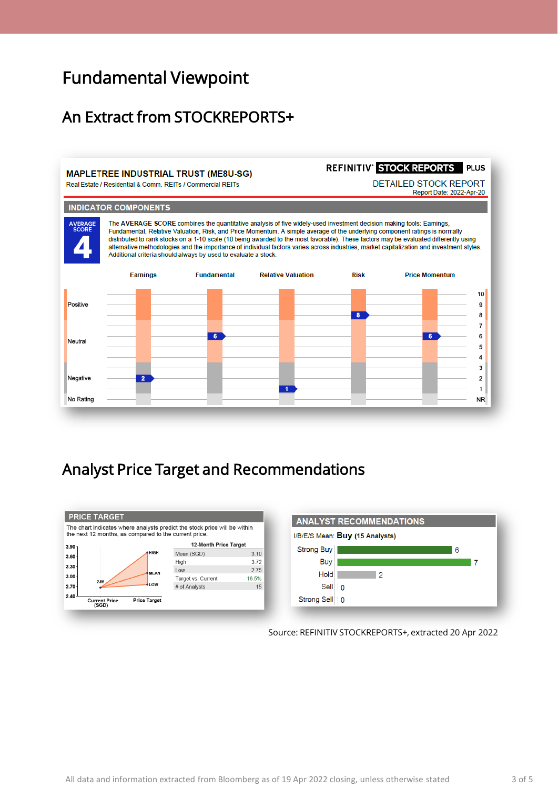# Fundamental Viewpoint

### An Extract from STOCKREPORTS+

#### **MAPLETREE INDUSTRIAL TRUST (ME8U-SG)**

Real Estate / Residential & Comm. REITs / Commercial REITs

```
REFINITIV' STOCK REPORTS PLUS
```
**DETAILED STOCK REPORT** Report Date: 2022-Apr-20

#### **INDICATOR COMPONENTS**

The AVERAGE SCORE combines the quantitative analysis of five widely-used investment decision making tools: Earnings, AVERAGE<br>SCORE Fundamental, Relative Valuation, Risk, and Price Momentum. A simple average of the underlying component ratings is normally distributed to rank stocks on a 1-10 scale (10 being awarded to the most favorable). These factors may be evaluated differently using alternative methodologies and the importance of individual factors varies across industries, market capitalization and investment styles. Additional criteria should always by used to evaluate a stock.



## Analyst Price Target and Recommendations





Source: REFINITIV STOCKREPORTS+, extracted 20 Apr 2022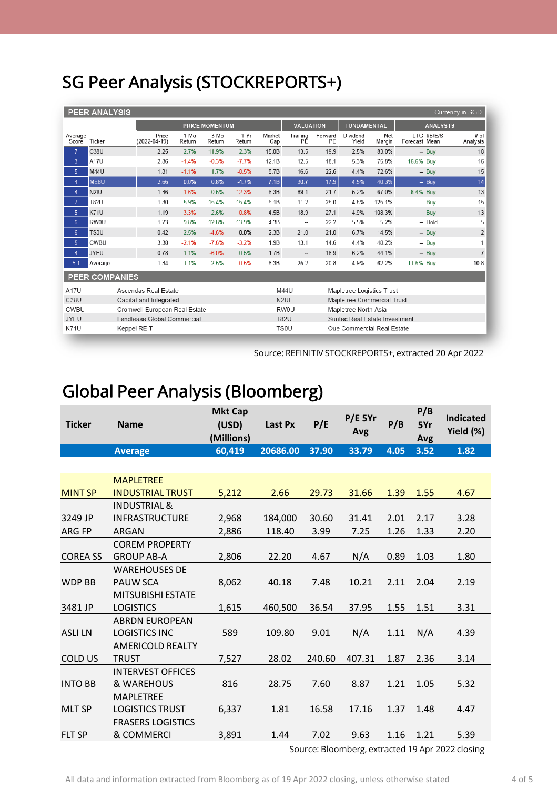# SG Peer Analysis (STOCKREPORTS+)

| <b>PEER ANALYSIS</b><br>Currency in SGD |             |                             |                               |                  |                  |                  |               |                                                 |                               |                            |               |                              |                    |
|-----------------------------------------|-------------|-----------------------------|-------------------------------|------------------|------------------|------------------|---------------|-------------------------------------------------|-------------------------------|----------------------------|---------------|------------------------------|--------------------|
|                                         |             |                             | <b>PRICE MOMENTUM</b>         |                  |                  |                  |               | <b>VALUATION</b><br><b>FUNDAMENTAL</b>          |                               |                            |               | <b>ANALYSTS</b>              |                    |
| Average<br>Score                        | Ticker      |                             | Price<br>$(2022 - 04 - 19)$   | $1-MO$<br>Return | $3-Mo$<br>Return | $1-Yr$<br>Return | Market<br>Cap | Trailing<br>РĒ                                  | Forward<br>PE                 | Dividend<br>Yield          | Net<br>Margin | LTG I/B/E/S<br>Forecast Mean | $#$ of<br>Analysts |
| $\overline{7}$                          | <b>C38U</b> |                             | 2.25                          | 2.7%             | 11.9%            | 2.3%             | 15.0B         | 13.5                                            | 19.9                          | 2.5%                       | 83.0%         | $-$ Buy                      | 18                 |
| 3                                       | A17U        |                             | 2.86                          | $-1.4%$          | $-0.3%$          | $-7.7%$          | 12.1B         | 12.5                                            | 18.1                          | 5.3%                       | 75.8%         | 16.6% Buy                    | 16                 |
| 5                                       | <b>M44U</b> |                             | 1.81                          | $-1.1%$          | 1.7%             | $-8.5%$          | 8.7B          | 16.6                                            | 22.6                          | 4.4%                       | 72.6%         | $-$ Buy                      | 15                 |
| $\overline{4}$                          | ME8U        |                             | 2.66                          | 0.0%             | 0.8%             | $-4.7%$          | 7.1B          | 30.7                                            | 17.9                          | 4.5%                       | 40.3%         | $-$ Buy                      | 14                 |
| $\overline{4}$                          | N2IU        |                             | 1.86                          | $-1.6%$          | 0.5%             | $-12.3%$         | 6.3B          | 89.1                                            | 21.7                          | 5.2%                       | 67.0%         | 6.4% Buy                     | 13                 |
| $\overline{7}$                          | <b>T82U</b> |                             | 1.80                          | 5.9%             | 15.4%            | 15.4%            | 5.1B          | 11.2                                            | 25.0                          | 4.8%                       | 125.1%        | $-$ Buy                      | 15                 |
| 5                                       | <b>K71U</b> |                             | 1.19                          | $-3.3%$          | 2.6%             | $-0.8%$          | 4.5B          | 18.9                                            | 27.1                          | 4.9%                       | 108.3%        | $-$ Buy                      | 13                 |
| 6                                       | RW0U        |                             | 1.23                          | 9.8%             | 12.8%            | 13.9%            | 4.3B          | $\overline{\phantom{a}}$                        | 22.2                          | 5.5%                       | 5.2%          | -- Hold                      | 5                  |
| 6                                       | <b>TSOU</b> |                             | 0.42                          | 2.5%             | $-4.6%$          | 0.0%             | 2.3B          | 21.0                                            | 21.0                          | 6.7%                       | 14.5%         | $-$ Buy                      | $\overline{2}$     |
| 5                                       | CWBU        |                             | 3.38                          | $-2.1%$          | $-7.6%$          | $-3.2%$          | 1.9B          | 13.1                                            | 14.6                          | 4.4%                       | 48.2%         | $-$ Buy                      | 1                  |
| $\overline{4}$                          | <b>JYEU</b> |                             | 0.78                          | 1.1%             | $-6.0%$          | 0.5%             | 1.7B          | $\overline{\phantom{a}}$                        | 18.9                          | 6.2%                       | 44.1%         | $-$ Buy                      | $\overline{7}$     |
| 5.1                                     | Average     |                             | 1.84                          | 1.1%             | 2.5%             | $-0.5%$          | 6.3B          | 25.2                                            | 20.8                          | 4.9%                       | 62.2%         | 11.5% Buy                    | 10.8               |
| <b>PEER COMPANIES</b>                   |             |                             |                               |                  |                  |                  |               |                                                 |                               |                            |               |                              |                    |
| A17U                                    |             |                             | Ascendas Real Estate          |                  |                  |                  |               | M44U<br>Mapletree Logistics Trust               |                               |                            |               |                              |                    |
| C38U                                    |             |                             | CapitaLand Integrated         |                  |                  |                  |               | N <sub>2</sub> IU<br>Mapletree Commercial Trust |                               |                            |               |                              |                    |
| CWBU                                    |             |                             | Cromwell European Real Estate |                  |                  |                  |               | RW0U<br>Mapletree North Asia                    |                               |                            |               |                              |                    |
| <b>JYEU</b>                             |             | Lendlease Global Commercial |                               |                  |                  |                  |               | <b>T82U</b>                                     | Suntec Real Estate Investment |                            |               |                              |                    |
| <b>K71U</b>                             |             | <b>Keppel REIT</b>          |                               |                  |                  |                  |               | TS0U                                            |                               | Oue Commercial Real Estate |               |                              |                    |

Source: REFINITIV STOCKREPORTS+, extracted 20 Apr 2022

# Global Peer Analysis (Bloomberg)

| <b>Ticker</b>   | <b>Name</b>              | <b>Mkt Cap</b><br>(USD)<br>(Millions) | Last Px  | P/E    | $P/E$ 5Yr<br>Avg | P/B  | P/B<br>5Yr<br>Avg | <b>Indicated</b><br>Yield (%) |
|-----------------|--------------------------|---------------------------------------|----------|--------|------------------|------|-------------------|-------------------------------|
|                 | <b>Average</b>           | 60,419                                | 20686.00 | 37.90  | 33.79            | 4.05 | 3.52              | 1.82                          |
|                 |                          |                                       |          |        |                  |      |                   |                               |
|                 | <b>MAPLETREE</b>         |                                       |          |        |                  |      |                   |                               |
| <b>MINT SP</b>  | <b>INDUSTRIAL TRUST</b>  | 5,212                                 | 2.66     | 29.73  | 31.66            | 1.39 | 1.55              | 4.67                          |
|                 | <b>INDUSTRIAL &amp;</b>  |                                       |          |        |                  |      |                   |                               |
| 3249 JP         | <b>INFRASTRUCTURE</b>    | 2,968                                 | 184,000  | 30.60  | 31.41            | 2.01 | 2.17              | 3.28                          |
| <b>ARG FP</b>   | <b>ARGAN</b>             | 2,886                                 | 118.40   | 3.99   | 7.25             | 1.26 | 1.33              | 2.20                          |
|                 | <b>COREM PROPERTY</b>    |                                       |          |        |                  |      |                   |                               |
| <b>COREA SS</b> | <b>GROUP AB-A</b>        | 2,806                                 | 22.20    | 4.67   | N/A              | 0.89 | 1.03              | 1.80                          |
|                 | <b>WAREHOUSES DE</b>     |                                       |          |        |                  |      |                   |                               |
| <b>WDP BB</b>   | <b>PAUW SCA</b>          | 8,062                                 | 40.18    | 7.48   | 10.21            | 2.11 | 2.04              | 2.19                          |
|                 | <b>MITSUBISHI ESTATE</b> |                                       |          |        |                  |      |                   |                               |
| 3481 JP         | <b>LOGISTICS</b>         | 1,615                                 | 460,500  | 36.54  | 37.95            | 1.55 | 1.51              | 3.31                          |
|                 | <b>ABRDN EUROPEAN</b>    |                                       |          |        |                  |      |                   |                               |
| <b>ASLILN</b>   | <b>LOGISTICS INC</b>     | 589                                   | 109.80   | 9.01   | N/A              | 1.11 | N/A               | 4.39                          |
|                 | <b>AMERICOLD REALTY</b>  |                                       |          |        |                  |      |                   |                               |
| <b>COLD US</b>  | <b>TRUST</b>             | 7,527                                 | 28.02    | 240.60 | 407.31           | 1.87 | 2.36              | 3.14                          |
|                 | <b>INTERVEST OFFICES</b> |                                       |          |        |                  |      |                   |                               |
| <b>INTO BB</b>  | & WAREHOUS               | 816                                   | 28.75    | 7.60   | 8.87             | 1.21 | 1.05              | 5.32                          |
|                 | <b>MAPLETREE</b>         |                                       |          |        |                  |      |                   |                               |
| <b>MLT SP</b>   | <b>LOGISTICS TRUST</b>   | 6,337                                 | 1.81     | 16.58  | 17.16            | 1.37 | 1.48              | 4.47                          |
|                 | <b>FRASERS LOGISTICS</b> |                                       |          |        |                  |      |                   |                               |
| <b>FLT SP</b>   | & COMMERCI               | 3,891                                 | 1.44     | 7.02   | 9.63             | 1.16 | 1.21              | 5.39                          |

Source: Bloomberg, extracted 19 Apr 2022 closing